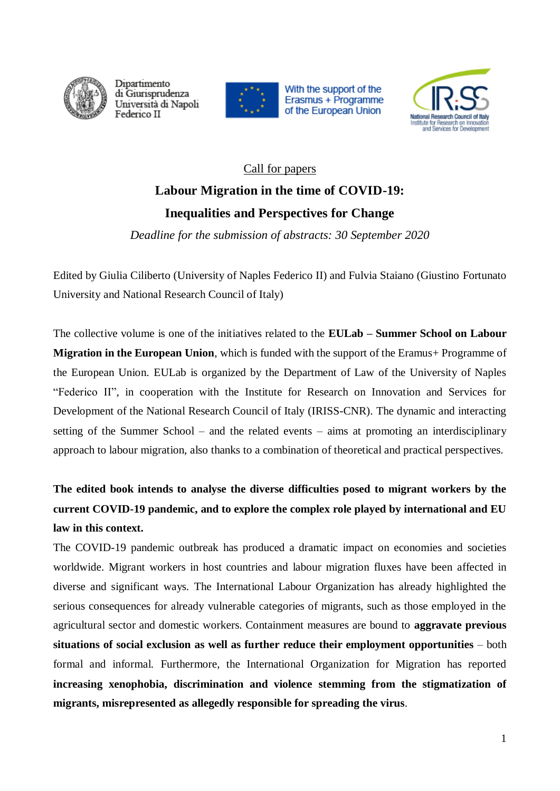

Dipartimento di Giurisprudenza Università di Napoli Federico II







## Call for papers **Labour Migration in the time of COVID-19: Inequalities and Perspectives for Change**

*Deadline for the submission of abstracts: 30 September 2020*

Edited by Giulia Ciliberto (University of Naples Federico II) and Fulvia Staiano (Giustino Fortunato University and National Research Council of Italy)

The collective volume is one of the initiatives related to the **EULab – Summer School on Labour Migration in the European Union**, which is funded with the support of the Eramus+ Programme of the European Union. EULab is organized by the Department of Law of the University of Naples "Federico II", in cooperation with the Institute for Research on Innovation and Services for Development of the National Research Council of Italy (IRISS-CNR). The dynamic and interacting setting of the Summer School – and the related events – aims at promoting an interdisciplinary approach to labour migration, also thanks to a combination of theoretical and practical perspectives.

## **The edited book intends to analyse the diverse difficulties posed to migrant workers by the current COVID-19 pandemic, and to explore the complex role played by international and EU law in this context.**

The COVID-19 pandemic outbreak has produced a dramatic impact on economies and societies worldwide. Migrant workers in host countries and labour migration fluxes have been affected in diverse and significant ways. The International Labour Organization has already highlighted the serious consequences for already vulnerable categories of migrants, such as those employed in the agricultural sector and domestic workers. Containment measures are bound to **aggravate previous situations of social exclusion as well as further reduce their employment opportunities** – both formal and informal. Furthermore, the International Organization for Migration has reported **increasing xenophobia, discrimination and violence stemming from the stigmatization of migrants, misrepresented as allegedly responsible for spreading the virus**.